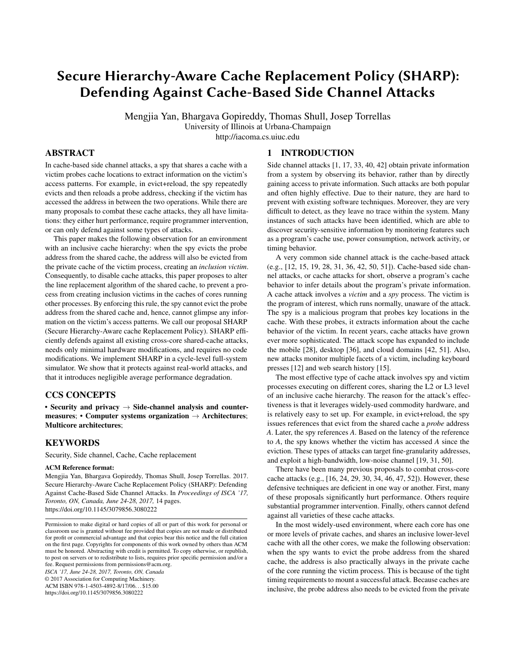# Secure Hierarchy-Aware Cache Replacement Policy (SHARP): Defending Against Cache-Based Side Channel Attacks

Mengjia Yan, Bhargava Gopireddy, Thomas Shull, Josep Torrellas University of Illinois at Urbana-Champaign http://iacoma.cs.uiuc.edu

# ABSTRACT

In cache-based side channel attacks, a spy that shares a cache with a victim probes cache locations to extract information on the victim's access patterns. For example, in evict+reload, the spy repeatedly evicts and then reloads a probe address, checking if the victim has accessed the address in between the two operations. While there are many proposals to combat these cache attacks, they all have limitations: they either hurt performance, require programmer intervention, or can only defend against some types of attacks.

This paper makes the following observation for an environment with an inclusive cache hierarchy: when the spy evicts the probe address from the shared cache, the address will also be evicted from the private cache of the victim process, creating an *inclusion victim*. Consequently, to disable cache attacks, this paper proposes to alter the line replacement algorithm of the shared cache, to prevent a process from creating inclusion victims in the caches of cores running other processes. By enforcing this rule, the spy cannot evict the probe address from the shared cache and, hence, cannot glimpse any information on the victim's access patterns. We call our proposal SHARP (Secure Hierarchy-Aware cache Replacement Policy). SHARP efficiently defends against all existing cross-core shared-cache attacks, needs only minimal hardware modifications, and requires no code modifications. We implement SHARP in a cycle-level full-system simulator. We show that it protects against real-world attacks, and that it introduces negligible average performance degradation.

# CCS CONCEPTS

• Security and privacy  $\rightarrow$  Side-channel analysis and countermeasures; • Computer systems organization  $\rightarrow$  Architectures; Multicore architectures;

# **KEYWORDS**

Security, Side channel, Cache, Cache replacement

#### ACM Reference format:

Mengjia Yan, Bhargava Gopireddy, Thomas Shull, Josep Torrellas. 2017. Secure Hierarchy-Aware Cache Replacement Policy (SHARP): Defending Against Cache-Based Side Channel Attacks. In *Proceedings of ISCA '17, Toronto, ON, Canada, June 24-28, 2017,* [14](#page-13-0) pages. <https://doi.org/10.1145/3079856.3080222>

*ISCA '17, June 24-28, 2017, Toronto, ON, Canada*

© 2017 Association for Computing Machinery. ACM ISBN 978-1-4503-4892-8/17/06. . . \$15.00

<https://doi.org/10.1145/3079856.3080222>

# 1 INTRODUCTION

Side channel attacks [\[1,](#page-11-0) [17,](#page-12-0) [33,](#page-12-1) [40,](#page-12-2) [42\]](#page-12-3) obtain private information from a system by observing its behavior, rather than by directly gaining access to private information. Such attacks are both popular and often highly effective. Due to their nature, they are hard to prevent with existing software techniques. Moreover, they are very difficult to detect, as they leave no trace within the system. Many instances of such attacks have been identified, which are able to discover security-sensitive information by monitoring features such as a program's cache use, power consumption, network activity, or timing behavior.

A very common side channel attack is the cache-based attack (e.g., [\[12,](#page-12-4) [15,](#page-12-5) [19,](#page-12-6) [28,](#page-12-7) [31,](#page-12-8) [36,](#page-12-9) [42,](#page-12-3) [50,](#page-13-1) [51\]](#page-13-2)). Cache-based side channel attacks, or cache attacks for short, observe a program's cache behavior to infer details about the program's private information. A cache attack involves a *victim* and a *spy* process. The victim is the program of interest, which runs normally, unaware of the attack. The spy is a malicious program that probes key locations in the cache. With these probes, it extracts information about the cache behavior of the victim. In recent years, cache attacks have grown ever more sophisticated. The attack scope has expanded to include the mobile [\[28\]](#page-12-7), desktop [\[36\]](#page-12-9), and cloud domains [\[42,](#page-12-3) [51\]](#page-13-2). Also, new attacks monitor multiple facets of a victim, including keyboard presses [\[12\]](#page-12-4) and web search history [\[15\]](#page-12-5).

The most effective type of cache attack involves spy and victim processes executing on different cores, sharing the L2 or L3 level of an inclusive cache hierarchy. The reason for the attack's effectiveness is that it leverages widely-used commodity hardware, and is relatively easy to set up. For example, in evict+reload, the spy issues references that evict from the shared cache a *probe* address *A*. Later, the spy references *A*. Based on the latency of the reference to *A*, the spy knows whether the victim has accessed *A* since the eviction. These types of attacks can target fine-granularity addresses, and exploit a high-bandwidth, low-noise channel [\[19,](#page-12-6) [31,](#page-12-8) [50\]](#page-13-1).

There have been many previous proposals to combat cross-core cache attacks (e.g., [\[16,](#page-12-10) [24,](#page-12-11) [29,](#page-12-12) [30,](#page-12-13) [34,](#page-12-14) [46,](#page-13-3) [47,](#page-13-4) [52\]](#page-13-5)). However, these defensive techniques are deficient in one way or another. First, many of these proposals significantly hurt performance. Others require substantial programmer intervention. Finally, others cannot defend against all varieties of these cache attacks.

In the most widely-used environment, where each core has one or more levels of private caches, and shares an inclusive lower-level cache with all the other cores, we make the following observation: when the spy wants to evict the probe address from the shared cache, the address is also practically always in the private cache of the core running the victim process. This is because of the tight timing requirements to mount a successful attack. Because caches are inclusive, the probe address also needs to be evicted from the private

Permission to make digital or hard copies of all or part of this work for personal or classroom use is granted without fee provided that copies are not made or distributed for profit or commercial advantage and that copies bear this notice and the full citation on the first page. Copyrights for components of this work owned by others than ACM must be honored. Abstracting with credit is permitted. To copy otherwise, or republish, to post on servers or to redistribute to lists, requires prior specific permission and/or a fee. Request permissions from permissions@acm.org.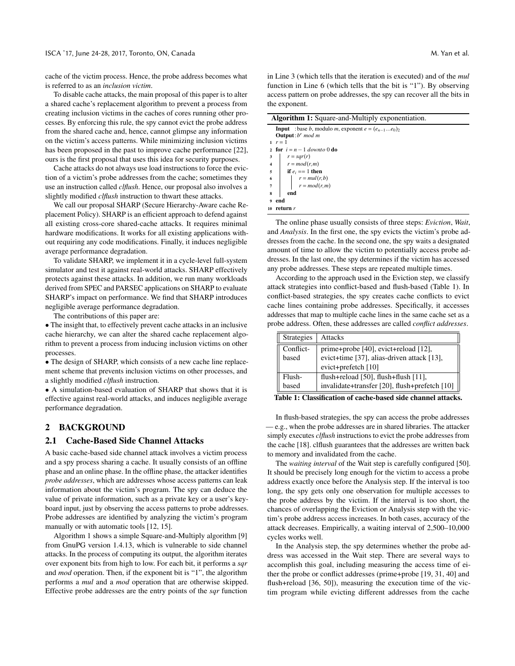cache of the victim process. Hence, the probe address becomes what is referred to as an *inclusion victim*.

To disable cache attacks, the main proposal of this paper is to alter a shared cache's replacement algorithm to prevent a process from creating inclusion victims in the caches of cores running other processes. By enforcing this rule, the spy cannot evict the probe address from the shared cache and, hence, cannot glimpse any information on the victim's access patterns. While minimizing inclusion victims has been proposed in the past to improve cache performance [\[22\]](#page-12-15), ours is the first proposal that uses this idea for security purposes.

Cache attacks do not always use load instructions to force the eviction of a victim's probe addresses from the cache; sometimes they use an instruction called *clflush*. Hence, our proposal also involves a slightly modified *clflush* instruction to thwart these attacks.

We call our proposal SHARP (Secure Hierarchy-Aware cache Replacement Policy). SHARP is an efficient approach to defend against all existing cross-core shared-cache attacks. It requires minimal hardware modifications. It works for all existing applications without requiring any code modifications. Finally, it induces negligible average performance degradation.

To validate SHARP, we implement it in a cycle-level full-system simulator and test it against real-world attacks. SHARP effectively protects against these attacks. In addition, we run many workloads derived from SPEC and PARSEC applications on SHARP to evaluate SHARP's impact on performance. We find that SHARP introduces negligible average performance degradation.

The contributions of this paper are:

• The insight that, to effectively prevent cache attacks in an inclusive cache hierarchy, we can alter the shared cache replacement algorithm to prevent a process from inducing inclusion victims on other processes.

• The design of SHARP, which consists of a new cache line replacement scheme that prevents inclusion victims on other processes, and a slightly modified *clflush* instruction.

• A simulation-based evaluation of SHARP that shows that it is effective against real-world attacks, and induces negligible average performance degradation.

# 2 BACKGROUND

#### <span id="page-1-2"></span>2.1 Cache-Based Side Channel Attacks

A basic cache-based side channel attack involves a victim process and a spy process sharing a cache. It usually consists of an offline phase and an online phase. In the offline phase, the attacker identifies *probe addresses*, which are addresses whose access patterns can leak information about the victim's program. The spy can deduce the value of private information, such as a private key or a user's keyboard input, just by observing the access patterns to probe addresses. Probe addresses are identified by analyzing the victim's program manually or with automatic tools [\[12,](#page-12-4) [15\]](#page-12-5).

Algorithm [1](#page-1-0) shows a simple Square-and-Multiply algorithm [\[9\]](#page-12-16) from GnuPG version 1.4.13, which is vulnerable to side channel attacks. In the process of computing its output, the algorithm iterates over exponent bits from high to low. For each bit, it performs a *sqr* and *mod* operation. Then, if the exponent bit is "1", the algorithm performs a *mul* and a *mod* operation that are otherwise skipped. Effective probe addresses are the entry points of the *sqr* function

in Line 3 (which tells that the iteration is executed) and of the *mul* function in Line 6 (which tells that the bit is "1"). By observing access pattern on probe addresses, the spy can recover all the bits in the exponent.

| <b>Input</b> : base b, modulo m, exponent $e = (e_{n-1} \dots e_0)$<br><b>Output</b> : $b^e$ mod m |  |  |  |  |  |  |  |
|----------------------------------------------------------------------------------------------------|--|--|--|--|--|--|--|
| $1 r = 1$                                                                                          |  |  |  |  |  |  |  |
| for $i = n - 1$ downto 0 do                                                                        |  |  |  |  |  |  |  |
|                                                                                                    |  |  |  |  |  |  |  |
|                                                                                                    |  |  |  |  |  |  |  |
|                                                                                                    |  |  |  |  |  |  |  |
|                                                                                                    |  |  |  |  |  |  |  |
|                                                                                                    |  |  |  |  |  |  |  |
|                                                                                                    |  |  |  |  |  |  |  |
|                                                                                                    |  |  |  |  |  |  |  |
| return r<br>10                                                                                     |  |  |  |  |  |  |  |
|                                                                                                    |  |  |  |  |  |  |  |

<span id="page-1-0"></span>The online phase usually consists of three steps: *Eviction*, *Wait*, and *Analysis*. In the first one, the spy evicts the victim's probe addresses from the cache. In the second one, the spy waits a designated amount of time to allow the victim to potentially access probe addresses. In the last one, the spy determines if the victim has accessed any probe addresses. These steps are repeated multiple times.

According to the approach used in the Eviction step, we classify attack strategies into conflict-based and flush-based (Table [1\)](#page-1-1). In conflict-based strategies, the spy creates cache conflicts to evict cache lines containing probe addresses. Specifically, it accesses addresses that map to multiple cache lines in the same cache set as a probe address. Often, these addresses are called *conflict addresses*.

<span id="page-1-1"></span>

| Strategies         | Attacks                                                                                                            |
|--------------------|--------------------------------------------------------------------------------------------------------------------|
| Conflict-<br>based | prime+probe [40], evict+reload [12],<br>evict+time [37], alias-driven attack [13],                                 |
| Flush-<br>based    | evict+prefetch [10]<br>flush+reload $[50]$ , flush+flush $[11]$ ,<br>invalidate+transfer [20], flush+prefetch [10] |

Table 1: Classification of cache-based side channel attacks.

In flush-based strategies, the spy can access the probe addresses — e.g., when the probe addresses are in shared libraries. The attacker simply executes *clflush* instructions to evict the probe addresses from the cache [\[18\]](#page-12-22). clflush guarantees that the addresses are written back to memory and invalidated from the cache.

The *waiting interval* of the Wait step is carefully configured [\[50\]](#page-13-1). It should be precisely long enough for the victim to access a probe address exactly once before the Analysis step. If the interval is too long, the spy gets only one observation for multiple accesses to the probe address by the victim. If the interval is too short, the chances of overlapping the Eviction or Analysis step with the victim's probe address access increases. In both cases, accuracy of the attack decreases. Empirically, a waiting interval of 2,500–10,000 cycles works well.

In the Analysis step, the spy determines whether the probe address was accessed in the Wait step. There are several ways to accomplish this goal, including measuring the access time of either the probe or conflict addresses (prime+probe [\[19,](#page-12-6) [31,](#page-12-8) [40\]](#page-12-2) and flush+reload [\[36,](#page-12-9) [50\]](#page-13-1)), measuring the execution time of the victim program while evicting different addresses from the cache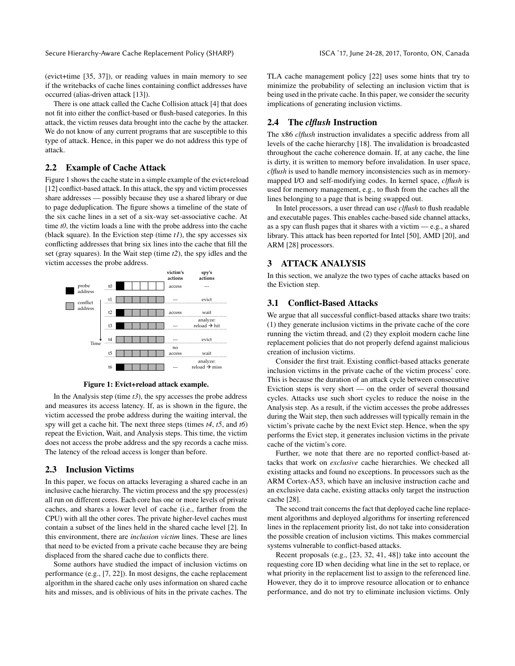(evict+time [\[35,](#page-12-23) [37\]](#page-12-17)), or reading values in main memory to see if the writebacks of cache lines containing conflict addresses have occurred (alias-driven attack [\[13\]](#page-12-18)).

There is one attack called the Cache Collision attack [\[4\]](#page-12-24) that does not fit into either the conflict-based or flush-based categories. In this attack, the victim reuses data brought into the cache by the attacker. We do not know of any current programs that are susceptible to this type of attack. Hence, in this paper we do not address this type of attack.

# <span id="page-2-1"></span>2.2 Example of Cache Attack

Figure [1](#page-2-0) shows the cache state in a simple example of the evict+reload [\[12\]](#page-12-4) conflict-based attack. In this attack, the spy and victim processes share addresses — possibly because they use a shared library or due to page deduplication. The figure shows a timeline of the state of the six cache lines in a set of a six-way set-associative cache. At time *t0*, the victim loads a line with the probe address into the cache (black square). In the Eviction step (time *t1*), the spy accesses six conflicting addresses that bring six lines into the cache that fill the set (gray squares). In the Wait step (time *t2*), the spy idles and the victim accesses the probe address.

<span id="page-2-0"></span>

Figure 1: Evict+reload attack example.

In the Analysis step (time  $t3$ ), the spy accesses the probe address and measures its access latency. If, as is shown in the figure, the victim accessed the probe address during the waiting interval, the spy will get a cache hit. The next three steps (times *t4*, *t5*, and *t6*) repeat the Eviction, Wait, and Analysis steps. This time, the victim does not access the probe address and the spy records a cache miss. The latency of the reload access is longer than before.

# 2.3 Inclusion Victims

In this paper, we focus on attacks leveraging a shared cache in an inclusive cache hierarchy. The victim process and the spy process(es) all run on different cores. Each core has one or more levels of private caches, and shares a lower level of cache (i.e., farther from the CPU) with all the other cores. The private higher-level caches must contain a subset of the lines held in the shared cache level [\[2\]](#page-11-1). In this environment, there are *inclusion victim* lines. These are lines that need to be evicted from a private cache because they are being displaced from the shared cache due to conflicts there.

Some authors have studied the impact of inclusion victims on performance (e.g., [\[7,](#page-12-25) [22\]](#page-12-15)). In most designs, the cache replacement algorithm in the shared cache only uses information on shared cache hits and misses, and is oblivious of hits in the private caches. The TLA cache management policy [\[22\]](#page-12-15) uses some hints that try to minimize the probability of selecting an inclusion victim that is being used in the private cache. In this paper, we consider the security implications of generating inclusion victims.

## 2.4 The *clflush* Instruction

The x86 *clflush* instruction invalidates a specific address from all levels of the cache hierarchy [\[18\]](#page-12-22). The invalidation is broadcasted throughout the cache coherence domain. If, at any cache, the line is dirty, it is written to memory before invalidation. In user space, *clflush* is used to handle memory inconsistencies such as in memorymapped I/O and self-modifying codes. In kernel space, *clflush* is used for memory management, e.g., to flush from the caches all the lines belonging to a page that is being swapped out.

In Intel processors, a user thread can use *clflush* to flush readable and executable pages. This enables cache-based side channel attacks, as a spy can flush pages that it shares with a victim — e.g., a shared library. This attack has been reported for Intel [\[50\]](#page-13-1), AMD [\[20\]](#page-12-21), and ARM [\[28\]](#page-12-7) processors.

# 3 ATTACK ANALYSIS

In this section, we analyze the two types of cache attacks based on the Eviction step.

#### 3.1 Conflict-Based Attacks

We argue that all successful conflict-based attacks share two traits: (1) they generate inclusion victims in the private cache of the core running the victim thread, and (2) they exploit modern cache line replacement policies that do not properly defend against malicious creation of inclusion victims.

Consider the first trait. Existing conflict-based attacks generate inclusion victims in the private cache of the victim process' core. This is because the duration of an attack cycle between consecutive Eviction steps is very short — on the order of several thousand cycles. Attacks use such short cycles to reduce the noise in the Analysis step. As a result, if the victim accesses the probe addresses during the Wait step, then such addresses will typically remain in the victim's private cache by the next Evict step. Hence, when the spy performs the Evict step, it generates inclusion victims in the private cache of the victim's core.

Further, we note that there are no reported conflict-based attacks that work on *exclusive* cache hierarchies. We checked all existing attacks and found no exceptions. In processors such as the ARM Cortex-A53, which have an inclusive instruction cache and an exclusive data cache, existing attacks only target the instruction cache [\[28\]](#page-12-7).

The second trait concerns the fact that deployed cache line replacement algorithms and deployed algorithms for inserting referenced lines in the replacement priority list, do not take into consideration the possible creation of inclusion victims. This makes commercial systems vulnerable to conflict-based attacks.

Recent proposals (e.g., [\[23,](#page-12-26) [32,](#page-12-27) [41,](#page-12-28) [48\]](#page-13-6)) take into account the requesting core ID when deciding what line in the set to replace, or what priority in the replacement list to assign to the referenced line. However, they do it to improve resource allocation or to enhance performance, and do not try to eliminate inclusion victims. Only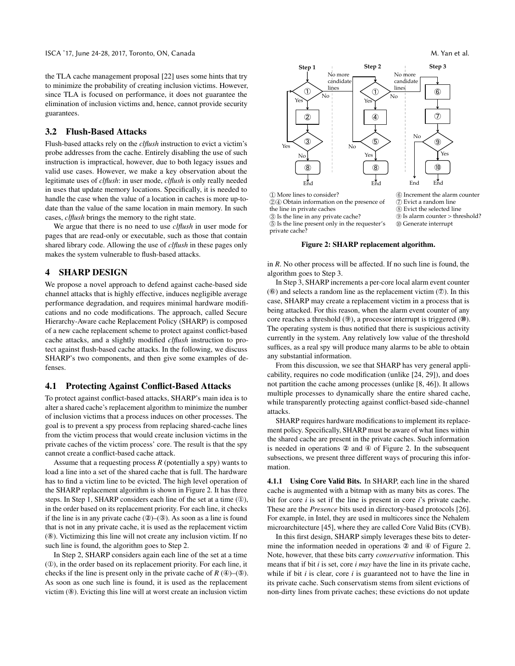the TLA cache management proposal [\[22\]](#page-12-15) uses some hints that try to minimize the probability of creating inclusion victims. However, since TLA is focused on performance, it does not guarantee the elimination of inclusion victims and, hence, cannot provide security guarantees.

# <span id="page-3-1"></span>3.2 Flush-Based Attacks

Flush-based attacks rely on the *clflush* instruction to evict a victim's probe addresses from the cache. Entirely disabling the use of such instruction is impractical, however, due to both legacy issues and valid use cases. However, we make a key observation about the legitimate uses of *clflush*: in user mode, *clflush* is only really needed in uses that update memory locations. Specifically, it is needed to handle the case when the value of a location in caches is more up-todate than the value of the same location in main memory. In such cases, *clflush* brings the memory to the right state.

We argue that there is no need to use *clflush* in user mode for pages that are read-only or executable, such as those that contain shared library code. Allowing the use of *clflush* in these pages only makes the system vulnerable to flush-based attacks.

# 4 SHARP DESIGN

We propose a novel approach to defend against cache-based side channel attacks that is highly effective, induces negligible average performance degradation, and requires minimal hardware modifications and no code modifications. The approach, called Secure Hierarchy-Aware cache Replacement Policy (SHARP) is composed of a new cache replacement scheme to protect against conflict-based cache attacks, and a slightly modified *clflush* instruction to protect against flush-based cache attacks. In the following, we discuss SHARP's two components, and then give some examples of defenses.

#### <span id="page-3-2"></span>4.1 Protecting Against Conflict-Based Attacks

To protect against conflict-based attacks, SHARP's main idea is to alter a shared cache's replacement algorithm to minimize the number of inclusion victims that a process induces on other processes. The goal is to prevent a spy process from replacing shared-cache lines from the victim process that would create inclusion victims in the private caches of the victim process' core. The result is that the spy cannot create a conflict-based cache attack.

Assume that a requesting process  $R$  (potentially a spy) wants to load a line into a set of the shared cache that is full. The hardware has to find a victim line to be evicted. The high level operation of the SHARP replacement algorithm is shown in Figure [2.](#page-3-0) It has three steps. In Step 1, SHARP considers each line of the set at a time (①), in the order based on its replacement priority. For each line, it checks if the line is in any private cache (②)–(③). As soon as a line is found that is not in any private cache, it is used as the replacement victim (⑧). Victimizing this line will not create any inclusion victim. If no such line is found, the algorithm goes to Step 2.

In Step 2, SHARP considers again each line of the set at a time (①), in the order based on its replacement priority. For each line, it checks if the line is present only in the private cache of  $R(\mathcal{D})-(\mathbb{S})$ . As soon as one such line is found, it is used as the replacement victim (⑧). Evicting this line will at worst create an inclusion victim

<span id="page-3-0"></span>

 More lines to consider? Obtain information on the presence of the line in private caches Is the line in any private cache? Is the line present only in the requester's private cache?

⑥ Increment the alarm counter ⑦ Evict a random line ⑧ Evict the selected line  $\widehat{O}$  Is alarm counter  $>$  threshold? ⑩ Generate interrupt

## Figure 2: SHARP replacement algorithm.

in *R*. No other process will be affected. If no such line is found, the algorithm goes to Step 3.

In Step 3, SHARP increments a per-core local alarm event counter  $(⑤)$  and selects a random line as the replacement victim  $(⑦)$ . In this case, SHARP may create a replacement victim in a process that is being attacked. For this reason, when the alarm event counter of any core reaches a threshold (⑨), a processor interrupt is triggered (⑩). The operating system is thus notified that there is suspicious activity currently in the system. Any relatively low value of the threshold suffices, as a real spy will produce many alarms to be able to obtain any substantial information.

From this discussion, we see that SHARP has very general applicability, requires no code modification (unlike [\[24,](#page-12-11) [29\]](#page-12-12)), and does not partition the cache among processes (unlike [\[8,](#page-12-29) [46\]](#page-13-3)). It allows multiple processes to dynamically share the entire shared cache, while transparently protecting against conflict-based side-channel attacks.

SHARP requires hardware modifications to implement its replacement policy. Specifically, SHARP must be aware of what lines within the shared cache are present in the private caches. Such information is needed in operations ② and ④ of Figure [2.](#page-3-0) In the subsequent subsections, we present three different ways of procuring this information.

<span id="page-3-3"></span>4.1.1 Using Core Valid Bits. In SHARP, each line in the shared cache is augmented with a bitmap with as many bits as cores. The bit for core *i* is set if the line is present in core *i*'s private cache. These are the *Presence* bits used in directory-based protocols [\[26\]](#page-12-30). For example, in Intel, they are used in multicores since the Nehalem microarchitecture [\[45\]](#page-13-7), where they are called Core Valid Bits (CVB).

In this first design, SHARP simply leverages these bits to determine the information needed in operations ② and ④ of Figure [2.](#page-3-0) Note, however, that these bits carry *conservative* information. This means that if bit *i* is set, core *i may* have the line in its private cache, while if bit  $i$  is clear, core  $i$  is guaranteed not to have the line in its private cache. Such conservatism stems from silent evictions of non-dirty lines from private caches; these evictions do not update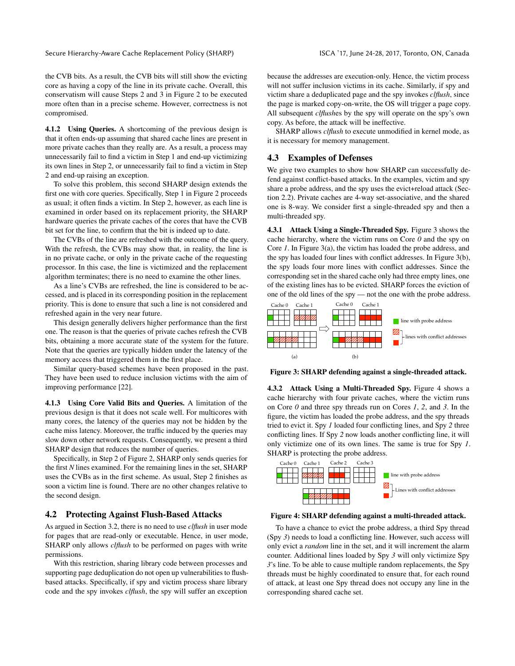the CVB bits. As a result, the CVB bits will still show the evicting core as having a copy of the line in its private cache. Overall, this conservatism will cause Steps 2 and 3 in Figure [2](#page-3-0) to be executed more often than in a precise scheme. However, correctness is not compromised.

<span id="page-4-2"></span>4.1.2 Using Queries. A shortcoming of the previous design is that it often ends-up assuming that shared cache lines are present in more private caches than they really are. As a result, a process may unnecessarily fail to find a victim in Step 1 and end-up victimizing its own lines in Step 2, or unnecessarily fail to find a victim in Step 2 and end-up raising an exception.

To solve this problem, this second SHARP design extends the first one with core queries. Specifically, Step 1 in Figure [2](#page-3-0) proceeds as usual; it often finds a victim. In Step 2, however, as each line is examined in order based on its replacement priority, the SHARP hardware queries the private caches of the cores that have the CVB bit set for the line, to confirm that the bit is indeed up to date.

The CVBs of the line are refreshed with the outcome of the query. With the refresh, the CVBs may show that, in reality, the line is in no private cache, or only in the private cache of the requesting processor. In this case, the line is victimized and the replacement algorithm terminates; there is no need to examine the other lines.

As a line's CVBs are refreshed, the line is considered to be accessed, and is placed in its corresponding position in the replacement priority. This is done to ensure that such a line is not considered and refreshed again in the very near future.

This design generally delivers higher performance than the first one. The reason is that the queries of private caches refresh the CVB bits, obtaining a more accurate state of the system for the future. Note that the queries are typically hidden under the latency of the memory access that triggered them in the first place.

Similar query-based schemes have been proposed in the past. They have been used to reduce inclusion victims with the aim of improving performance [\[22\]](#page-12-15).

<span id="page-4-3"></span>4.1.3 Using Core Valid Bits and Queries. A limitation of the previous design is that it does not scale well. For multicores with many cores, the latency of the queries may not be hidden by the cache miss latency. Moreover, the traffic induced by the queries may slow down other network requests. Consequently, we present a third SHARP design that reduces the number of queries.

Specifically, in Step 2 of Figure [2,](#page-3-0) SHARP only sends queries for the first *N* lines examined. For the remaining lines in the set, SHARP uses the CVBs as in the first scheme. As usual, Step 2 finishes as soon a victim line is found. There are no other changes relative to the second design.

#### 4.2 Protecting Against Flush-Based Attacks

As argued in Section [3.2,](#page-3-1) there is no need to use *clflush* in user mode for pages that are read-only or executable. Hence, in user mode, SHARP only allows *clflush* to be performed on pages with write permissions.

With this restriction, sharing library code between processes and supporting page deduplication do not open up vulnerabilities to flushbased attacks. Specifically, if spy and victim process share library code and the spy invokes *clflush*, the spy will suffer an exception

because the addresses are execution-only. Hence, the victim process will not suffer inclusion victims in its cache. Similarly, if spy and victim share a deduplicated page and the spy invokes *clflush*, since the page is marked copy-on-write, the OS will trigger a page copy. All subsequent *clflush*es by the spy will operate on the spy's own copy. As before, the attack will be ineffective.

SHARP allows *clflush* to execute unmodified in kernel mode, as it is necessary for memory management.

## 4.3 Examples of Defenses

We give two examples to show how SHARP can successfully defend against conflict-based attacks. In the examples, victim and spy share a probe address, and the spy uses the evict+reload attack (Section [2.2\)](#page-2-1). Private caches are 4-way set-associative, and the shared one is 8-way. We consider first a single-threaded spy and then a multi-threaded spy.

4.3.1 Attack Using a Single-Threaded Spy. Figure [3](#page-4-0) shows the cache hierarchy, where the victim runs on Core *0* and the spy on Core *1*. In Figure [3\(](#page-4-0)a), the victim has loaded the probe address, and the spy has loaded four lines with conflict addresses. In Figure [3\(](#page-4-0)b), the spy loads four more lines with conflict addresses. Since the corresponding set in the shared cache only had three empty lines, one of the existing lines has to be evicted. SHARP forces the eviction of one of the old lines of the spy — not the one with the probe address.

<span id="page-4-0"></span>

Figure 3: SHARP defending against a single-threaded attack.

4.3.2 Attack Using a Multi-Threaded Spy. Figure [4](#page-4-1) shows a cache hierarchy with four private caches, where the victim runs on Core *0* and three spy threads run on Cores *1*, *2*, and *3*. In the figure, the victim has loaded the probe address, and the spy threads tried to evict it. Spy *1* loaded four conflicting lines, and Spy *2* three conflicting lines. If Spy *2* now loads another conflicting line, it will only victimize one of its own lines. The same is true for Spy *1*. SHARP is protecting the probe address.

<span id="page-4-1"></span>



To have a chance to evict the probe address, a third Spy thread (Spy *3*) needs to load a conflicting line. However, such access will only evict a *random* line in the set, and it will increment the alarm counter. Additional lines loaded by Spy *3* will only victimize Spy *3*'s line. To be able to cause multiple random replacements, the Spy threads must be highly coordinated to ensure that, for each round of attack, at least one Spy thread does not occupy any line in the corresponding shared cache set.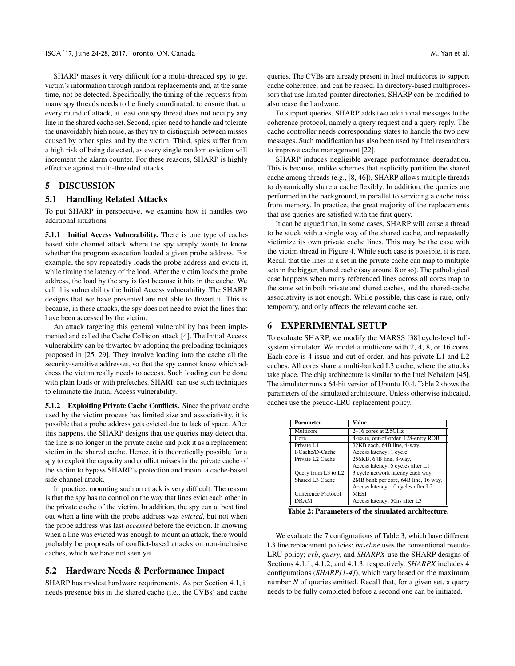SHARP makes it very difficult for a multi-threaded spy to get victim's information through random replacements and, at the same time, not be detected. Specifically, the timing of the requests from many spy threads needs to be finely coordinated, to ensure that, at every round of attack, at least one spy thread does not occupy any line in the shared cache set. Second, spies need to handle and tolerate the unavoidably high noise, as they try to distinguish between misses caused by other spies and by the victim. Third, spies suffer from a high risk of being detected, as every single random eviction will increment the alarm counter. For these reasons, SHARP is highly effective against multi-threaded attacks.

# 5 DISCUSSION

#### 5.1 Handling Related Attacks

To put SHARP in perspective, we examine how it handles two additional situations.

5.1.1 Initial Access Vulnerability. There is one type of cachebased side channel attack where the spy simply wants to know whether the program execution loaded a given probe address. For example, the spy repeatedly loads the probe address and evicts it, while timing the latency of the load. After the victim loads the probe address, the load by the spy is fast because it hits in the cache. We call this vulnerability the Initial Access vulnerability. The SHARP designs that we have presented are not able to thwart it. This is because, in these attacks, the spy does not need to evict the lines that have been accessed by the victim.

An attack targeting this general vulnerability has been implemented and called the Cache Collision attack [\[4\]](#page-12-24). The Initial Access vulnerability can be thwarted by adopting the preloading techniques proposed in [\[25,](#page-12-31) [29\]](#page-12-12). They involve loading into the cache all the security-sensitive addresses, so that the spy cannot know which address the victim really needs to access. Such loading can be done with plain loads or with prefetches. SHARP can use such techniques to eliminate the Initial Access vulnerability.

5.1.2 Exploiting Private Cache Conflicts. Since the private cache used by the victim process has limited size and associativity, it is possible that a probe address gets evicted due to lack of space. After this happens, the SHARP designs that use queries may detect that the line is no longer in the private cache and pick it as a replacement victim in the shared cache. Hence, it is theoretically possible for a spy to exploit the capacity and conflict misses in the private cache of the victim to bypass SHARP's protection and mount a cache-based side channel attack.

In practice, mounting such an attack is very difficult. The reason is that the spy has no control on the way that lines evict each other in the private cache of the victim. In addition, the spy can at best find out when a line with the probe address was *evicted*, but not when the probe address was last *accessed* before the eviction. If knowing when a line was evicted was enough to mount an attack, there would probably be proposals of conflict-based attacks on non-inclusive caches, which we have not seen yet.

#### 5.2 Hardware Needs & Performance Impact

SHARP has modest hardware requirements. As per Section [4.1,](#page-3-2) it needs presence bits in the shared cache (i.e., the CVBs) and cache

queries. The CVBs are already present in Intel multicores to support cache coherence, and can be reused. In directory-based multiprocessors that use limited-pointer directories, SHARP can be modified to also reuse the hardware.

To support queries, SHARP adds two additional messages to the coherence protocol, namely a query request and a query reply. The cache controller needs corresponding states to handle the two new messages. Such modification has also been used by Intel researchers to improve cache management [\[22\]](#page-12-15).

SHARP induces negligible average performance degradation. This is because, unlike schemes that explicitly partition the shared cache among threads (e.g., [\[8,](#page-12-29) [46\]](#page-13-3)), SHARP allows multiple threads to dynamically share a cache flexibly. In addition, the queries are performed in the background, in parallel to servicing a cache miss from memory. In practice, the great majority of the replacements that use queries are satisfied with the first query.

It can be argued that, in some cases, SHARP will cause a thread to be stuck with a single way of the shared cache, and repeatedly victimize its own private cache lines. This may be the case with the victim thread in Figure [4.](#page-4-1) While such case is possible, it is rare. Recall that the lines in a set in the private cache can map to multiple sets in the bigger, shared cache (say around 8 or so). The pathological case happens when many referenced lines across all cores map to the same set in both private and shared caches, and the shared-cache associativity is not enough. While possible, this case is rare, only temporary, and only affects the relevant cache set.

#### 6 EXPERIMENTAL SETUP

To evaluate SHARP, we modify the MARSS [\[38\]](#page-12-32) cycle-level fullsystem simulator. We model a multicore with 2, 4, 8, or 16 cores. Each core is 4-issue and out-of-order, and has private L1 and L2 caches. All cores share a multi-banked L3 cache, where the attacks take place. The chip architecture is similar to the Intel Nehalem [\[45\]](#page-13-7). The simulator runs a 64-bit version of Ubuntu 10.4. Table [2](#page-5-0) shows the parameters of the simulated architecture. Unless otherwise indicated, caches use the pseudo-LRU replacement policy.

<span id="page-5-0"></span>

| <b>Parameter</b>             | <b>Value</b>                         |
|------------------------------|--------------------------------------|
| Multicore                    | $2-16$ cores at $2.5$ GHz            |
| Core                         | 4-issue, out-of-order, 128-entry ROB |
| Private L1                   | 32KB each, 64B line, 4-way,          |
| I-Cache/D-Cache              | Access latency: 1 cycle              |
| Private L <sub>2</sub> Cache | 256KB, 64B line, 8-way,              |
|                              | Access latency: 5 cycles after L1    |
| Ouery from L3 to L2          | 3 cycle network latency each way     |
| Shared L3 Cache              | 2MB bank per core, 64B line, 16 way, |
|                              | Access latency: 10 cycles after L2   |
| Coherence Protocol           | <b>MESI</b>                          |
| <b>DRAM</b>                  | Access latency: 50ns after L3        |

Table 2: Parameters of the simulated architecture.

We evaluate the 7 configurations of Table [3,](#page-6-0) which have different L3 line replacement policies: *baseline* uses the conventional pseudo-LRU policy; *cvb*, *query*, and *SHARPX* use the SHARP designs of Sections [4.1.1,](#page-3-3) [4.1.2,](#page-4-2) and [4.1.3,](#page-4-3) respectively. *SHARPX* includes 4 configurations (*SHARP[1-4]*), which vary based on the maximum number *N* of queries emitted. Recall that, for a given set, a query needs to be fully completed before a second one can be initiated.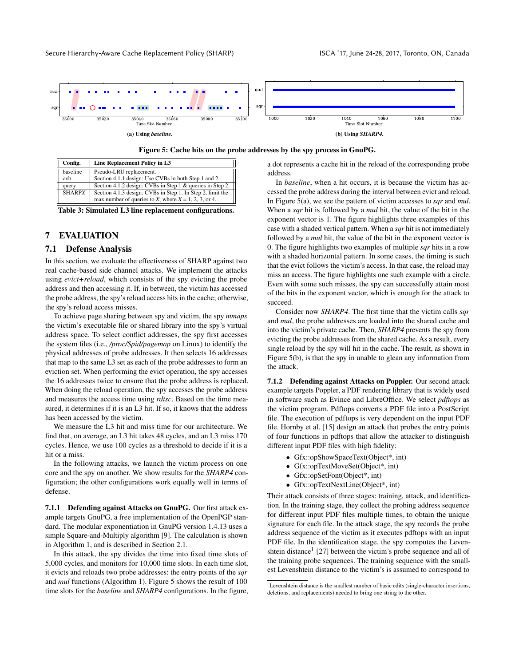<span id="page-6-1"></span>

Figure 5: Cache hits on the probe addresses by the spy process in GnuPG.

<span id="page-6-0"></span>

| Config.       | Line Replacement Policy in L3                              |
|---------------|------------------------------------------------------------|
| baseline      | Pseudo-LRU replacement.                                    |
| cvh           | Section 4.1.1 design: Use CVBs in both Step 1 and 2.       |
| query         | Section 4.1.2 design: CVBs in Step 1 & queries in Step 2.  |
| <b>SHARPX</b> | Section 4.1.3 design: CVBs in Step 1. In Step 2, limit the |
|               | max number of queries to X, where $X = 1, 2, 3$ , or 4.    |

Table 3: Simulated L3 line replacement configurations.

# 7 EVALUATION

# 7.1 Defense Analysis

In this section, we evaluate the effectiveness of SHARP against two real cache-based side channel attacks. We implement the attacks using *evict+reload*, which consists of the spy evicting the probe address and then accessing it. If, in between, the victim has accessed the probe address, the spy's reload access hits in the cache; otherwise, the spy's reload access misses.

To achieve page sharing between spy and victim, the spy *mmaps* the victim's executable file or shared library into the spy's virtual address space. To select conflict addresses, the spy first accesses the system files (i.e., */proc/\$pid/pagemap* on Linux) to identify the physical addresses of probe addresses. It then selects 16 addresses that map to the same L3 set as each of the probe addresses to form an eviction set. When performing the evict operation, the spy accesses the 16 addresses twice to ensure that the probe address is replaced. When doing the reload operation, the spy accesses the probe address and measures the access time using *rdtsc*. Based on the time measured, it determines if it is an L3 hit. If so, it knows that the address has been accessed by the victim.

We measure the L3 hit and miss time for our architecture. We find that, on average, an L3 hit takes 48 cycles, and an L3 miss 170 cycles. Hence, we use 100 cycles as a threshold to decide if it is a hit or a miss.

In the following attacks, we launch the victim process on one core and the spy on another. We show results for the *SHARP4* configuration; the other configurations work equally well in terms of defense.

7.1.1 Defending against Attacks on GnuPG. Our first attack example targets GnuPG, a free implementation of the OpenPGP standard. The modular exponentiation in GnuPG version 1.4.13 uses a simple Square-and-Multiply algorithm [\[9\]](#page-12-16). The calculation is shown in Algorithm [1,](#page-1-0) and is described in Section [2.1.](#page-1-2)

In this attack, the spy divides the time into fixed time slots of 5,000 cycles, and monitors for 10,000 time slots. In each time slot, it evicts and reloads two probe addresses: the entry points of the *sqr* and *mul* functions (Algorithm [1\)](#page-1-0). Figure [5](#page-6-1) shows the result of 100 time slots for the *baseline* and *SHARP4* configurations. In the figure,

a dot represents a cache hit in the reload of the corresponding probe address.

In *baseline*, when a hit occurs, it is because the victim has accessed the probe address during the interval between evict and reload. In Figure [5\(](#page-6-1)a), we see the pattern of victim accesses to *sqr* and *mul*. When a *sqr* hit is followed by a *mul* hit, the value of the bit in the exponent vector is 1. The figure highlights three examples of this case with a shaded vertical pattern. When a *sqr* hit is not immediately followed by a *mul* hit, the value of the bit in the exponent vector is 0. The figure highlights two examples of multiple *sqr* hits in a row with a shaded horizontal pattern. In some cases, the timing is such that the evict follows the victim's access. In that case, the reload may miss an access. The figure highlights one such example with a circle. Even with some such misses, the spy can successfully attain most of the bits in the exponent vector, which is enough for the attack to succeed.

Consider now *SHARP4*. The first time that the victim calls *sqr* and *mul*, the probe addresses are loaded into the shared cache and into the victim's private cache. Then, *SHARP4* prevents the spy from evicting the probe addresses from the shared cache. As a result, every single reload by the spy will hit in the cache. The result, as shown in Figure [5\(](#page-6-1)b), is that the spy in unable to glean any information from the attack.

7.1.2 Defending against Attacks on Poppler. Our second attack example targets Poppler, a PDF rendering library that is widely used in software such as Evince and LibreOffice. We select *pdftops* as the victim program. Pdftops converts a PDF file into a PostScript file. The execution of pdftops is very dependent on the input PDF file. Hornby et al. [\[15\]](#page-12-5) design an attack that probes the entry points of four functions in pdftops that allow the attacker to distinguish different input PDF files with high fidelity:

- Gfx::opShowSpaceText(Object\*, int)
- Gfx::opTextMoveSet(Object\*, int)
- Gfx::opSetFont(Object\*, int)
- Gfx::opTextNextLine(Object\*, int)

Their attack consists of three stages: training, attack, and identification. In the training stage, they collect the probing address sequence for different input PDF files multiple times, to obtain the unique signature for each file. In the attack stage, the spy records the probe address sequence of the victim as it executes pdftops with an input PDF file. In the identification stage, the spy computes the Leven-shtein distance<sup>[1](#page-6-2)</sup> [\[27\]](#page-12-33) between the victim's probe sequence and all of the training probe sequences. The training sequence with the smallest Levenshtein distance to the victim's is assumed to correspond to

<span id="page-6-2"></span><sup>&</sup>lt;sup>1</sup>Levenshtein distance is the smallest number of basic edits (single-character insertions, deletions, and replacements) needed to bring one string to the other.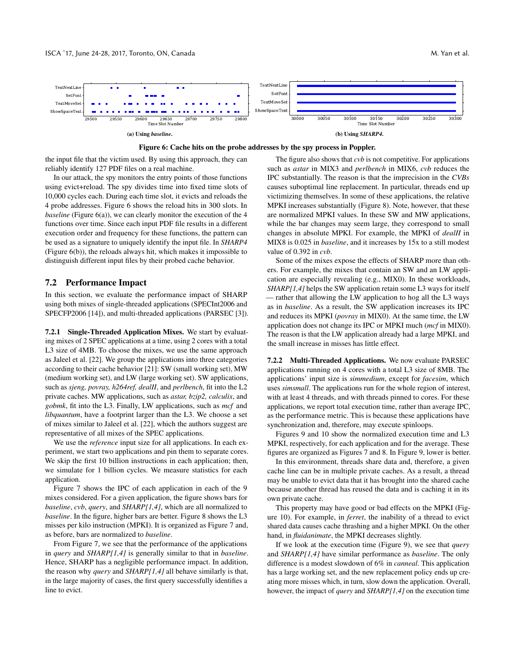

<span id="page-7-0"></span>

Figure 6: Cache hits on the probe addresses by the spy process in Poppler.

the input file that the victim used. By using this approach, they can reliably identify 127 PDF files on a real machine.

In our attack, the spy monitors the entry points of those functions using evict+reload. The spy divides time into fixed time slots of 10,000 cycles each. During each time slot, it evicts and reloads the 4 probe addresses. Figure [6](#page-7-0) shows the reload hits in 300 slots. In *baseline* (Figure [6\(](#page-7-0)a)), we can clearly monitor the execution of the 4 functions over time. Since each input PDF file results in a different execution order and frequency for these functions, the pattern can be used as a signature to uniquely identify the input file. In *SHARP4* (Figure [6\(](#page-7-0)b)), the reloads always hit, which makes it impossible to distinguish different input files by their probed cache behavior.

#### 7.2 Performance Impact

In this section, we evaluate the performance impact of SHARP using both mixes of single-threaded applications (SPECInt2006 and SPECFP2006 [\[14\]](#page-12-34)), and multi-threaded applications (PARSEC [\[3\]](#page-11-2)).

<span id="page-7-1"></span>7.2.1 Single-Threaded Application Mixes. We start by evaluating mixes of 2 SPEC applications at a time, using 2 cores with a total L3 size of 4MB. To choose the mixes, we use the same approach as Jaleel et al. [\[22\]](#page-12-15). We group the applications into three categories according to their cache behavior [\[21\]](#page-12-35): SW (small working set), MW (medium working set), and LW (large working set). SW applications, such as *sjeng, povray, h264ref, dealII*, and *perlbench*, fit into the L2 private caches. MW applications, such as *astar, bzip2, calculix*, and *gobmk*, fit into the L3. Finally, LW applications, such as *mcf* and *libquantum*, have a footprint larger than the L3. We choose a set of mixes similar to Jaleel et al. [\[22\]](#page-12-15), which the authors suggest are representative of all mixes of the SPEC applications.

We use the *reference* input size for all applications. In each experiment, we start two applications and pin them to separate cores. We skip the first 10 billion instructions in each application; then, we simulate for 1 billion cycles. We measure statistics for each application.

Figure [7](#page-8-0) shows the IPC of each application in each of the 9 mixes considered. For a given application, the figure shows bars for *baseline*, *cvb*, *query*, and *SHARP[1,4]*, which are all normalized to *baseline*. In the figure, higher bars are better. Figure [8](#page-8-1) shows the L3 misses per kilo instruction (MPKI). It is organized as Figure [7](#page-8-0) and, as before, bars are normalized to *baseline*.

From Figure [7,](#page-8-0) we see that the performance of the applications in *query* and *SHARP[1,4]* is generally similar to that in *baseline*. Hence, SHARP has a negligible performance impact. In addition, the reason why *query* and *SHARP[1,4]* all behave similarly is that, in the large majority of cases, the first query successfully identifies a line to evict.

The figure also shows that *cvb* is not competitive. For applications such as *astar* in MIX3 and *perlbench* in MIX6, *cvb* reduces the IPC substantially. The reason is that the imprecision in the *CVBs* causes suboptimal line replacement. In particular, threads end up victimizing themselves. In some of these applications, the relative MPKI increases substantially (Figure [8\)](#page-8-1). Note, however, that these are normalized MPKI values. In these SW and MW applications, while the bar changes may seem large, they correspond to small changes in absolute MPKI. For example, the MPKI of *dealII* in MIX8 is 0.025 in *baseline*, and it increases by 15x to a still modest value of 0.392 in *cvb*.

Some of the mixes expose the effects of SHARP more than others. For example, the mixes that contain an SW and an LW application are especially revealing (e.g., MIX0). In these workloads, *SHARP[1,4]* helps the SW application retain some L3 ways for itself — rather that allowing the LW application to hog all the L3 ways as in *baseline*. As a result, the SW application increases its IPC and reduces its MPKI (*povray* in MIX0). At the same time, the LW application does not change its IPC or MPKI much (*mcf* in MIX0). The reason is that the LW application already had a large MPKI, and the small increase in misses has little effect.

7.2.2 Multi-Threaded Applications. We now evaluate PARSEC applications running on 4 cores with a total L3 size of 8MB. The applications' input size is *simmedium*, except for *facesim*, which uses *simsmall*. The applications run for the whole region of interest, with at least 4 threads, and with threads pinned to cores. For these applications, we report total execution time, rather than average IPC, as the performance metric. This is because these applications have synchronization and, therefore, may execute spinloops.

Figures [9](#page-8-2) and [10](#page-8-3) show the normalized execution time and L3 MPKI, respectively, for each application and for the average. These figures are organized as Figures [7](#page-8-0) and [8.](#page-8-1) In Figure [9,](#page-8-2) lower is better.

In this environment, threads share data and, therefore, a given cache line can be in multiple private caches. As a result, a thread may be unable to evict data that it has brought into the shared cache because another thread has reused the data and is caching it in its own private cache.

This property may have good or bad effects on the MPKI (Figure [10\)](#page-8-3). For example, in *ferret*, the inability of a thread to evict shared data causes cache thrashing and a higher MPKI. On the other hand, in *fluidanimate*, the MPKI decreases slightly.

If we look at the execution time (Figure [9\)](#page-8-2), we see that *query* and *SHARP[1,4]* have similar performance as *baseline*. The only difference is a modest slowdown of 6% in *canneal*. This application has a large working set, and the new replacement policy ends up creating more misses which, in turn, slow down the application. Overall, however, the impact of *query* and *SHARP[1,4]* on the execution time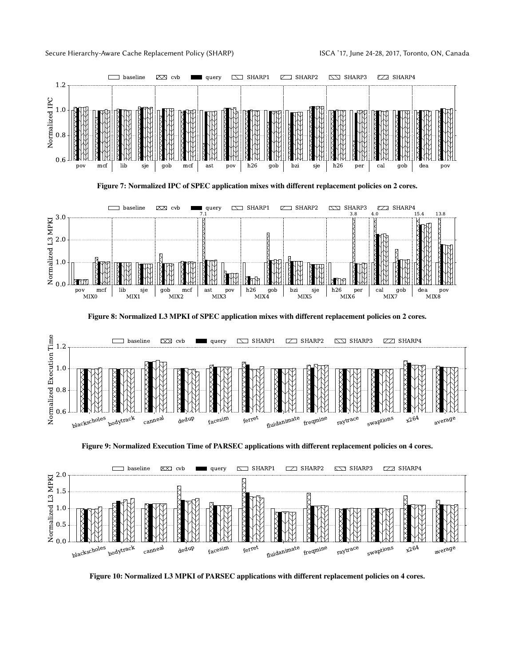<span id="page-8-1"></span><span id="page-8-0"></span>

<span id="page-8-2"></span>



<span id="page-8-3"></span>

Figure 10: Normalized L3 MPKI of PARSEC applications with different replacement policies on 4 cores.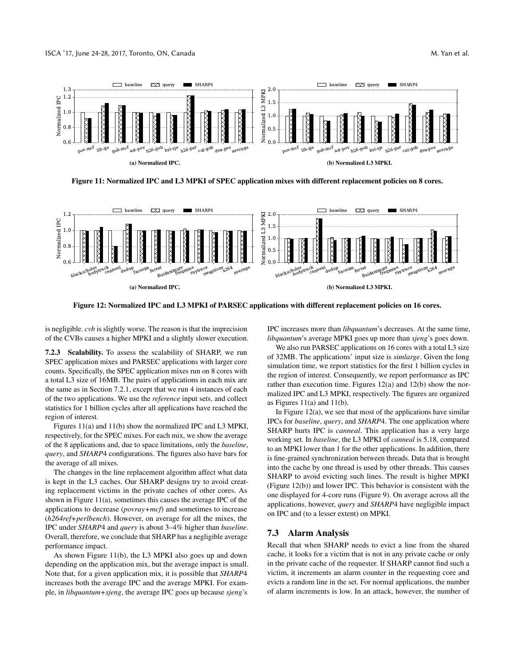#### ISCA '17, June 24-28, 2017, Toronto, ON, Canada M. Yan et al.

<span id="page-9-0"></span>



<span id="page-9-1"></span>

Figure 12: Normalized IPC and L3 MPKI of PARSEC applications with different replacement policies on 16 cores.

is negligible. *cvb* is slightly worse. The reason is that the imprecision of the CVBs causes a higher MPKI and a slightly slower execution.

<span id="page-9-2"></span>7.2.3 Scalability. To assess the scalability of SHARP, we run SPEC application mixes and PARSEC applications with larger core counts. Specifically, the SPEC application mixes run on 8 cores with a total L3 size of 16MB. The pairs of applications in each mix are the same as in Section [7.2.1,](#page-7-1) except that we run 4 instances of each of the two applications. We use the *reference* input sets, and collect statistics for 1 billion cycles after all applications have reached the region of interest.

Figures [11\(](#page-9-0)a) and [11\(](#page-9-0)b) show the normalized IPC and L3 MPKI, respectively, for the SPEC mixes. For each mix, we show the average of the 8 applications and, due to space limitations, only the *baseline*, *query*, and *SHARP*4 configurations. The figures also have bars for the average of all mixes.

The changes in the line replacement algorithm affect what data is kept in the L3 caches. Our SHARP designs try to avoid creating replacement victims in the private caches of other cores. As shown in Figure [11\(](#page-9-0)a), sometimes this causes the average IPC of the applications to decrease (*povray+mcf*) and sometimes to increase (*h264ref+perlbench*). However, on average for all the mixes, the IPC under *SHARP*4 and *query* is about 3–4% higher than *baseline*. Overall, therefore, we conclude that SHARP has a negligible average performance impact.

As shown Figure [11\(](#page-9-0)b), the L3 MPKI also goes up and down depending on the application mix, but the average impact is small. Note that, for a given application mix, it is possible that *SHARP*4 increases both the average IPC and the average MPKI. For example, in *libquantum+sjeng*, the average IPC goes up because *sjeng*'s

IPC increases more than *libquantum*'s decreases. At the same time, *libquantum*'s average MPKI goes up more than *sjeng*'s goes down.

We also run PARSEC applications on 16 cores with a total L3 size of 32MB. The applications' input size is *simlarge*. Given the long simulation time, we report statistics for the first 1 billion cycles in the region of interest. Consequently, we report performance as IPC rather than execution time. Figures [12\(](#page-9-1)a) and [12\(](#page-9-1)b) show the normalized IPC and L3 MPKI, respectively. The figures are organized as Figures  $11(a)$  and  $11(b)$ .

In Figure  $12(a)$ , we see that most of the applications have similar IPCs for *baseline*, *query*, and *SHARP*4. The one application where SHARP hurts IPC is *canneal*. This application has a very large working set. In *baseline*, the L3 MPKI of *canneal* is 5.18, compared to an MPKI lower than 1 for the other applications. In addition, there is fine-grained synchronization between threads. Data that is brought into the cache by one thread is used by other threads. This causes SHARP to avoid evicting such lines. The result is higher MPKI (Figure [12\(](#page-9-1)b)) and lower IPC. This behavior is consistent with the one displayed for 4-core runs (Figure [9\)](#page-8-2). On average across all the applications, however, *query* and *SHARP*4 have negligible impact on IPC and (to a lesser extent) on MPKI.

#### 7.3 Alarm Analysis

Recall that when SHARP needs to evict a line from the shared cache, it looks for a victim that is not in any private cache or only in the private cache of the requester. If SHARP cannot find such a victim, it increments an alarm counter in the requesting core and evicts a random line in the set. For normal applications, the number of alarm increments is low. In an attack, however, the number of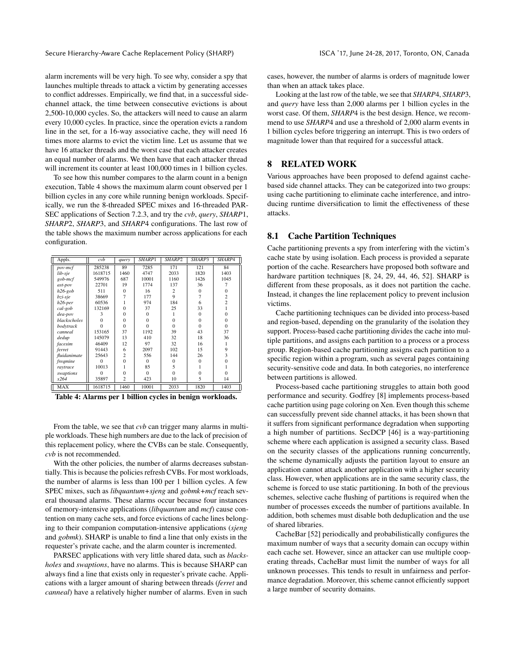alarm increments will be very high. To see why, consider a spy that launches multiple threads to attack a victim by generating accesses to conflict addresses. Empirically, we find that, in a successful sidechannel attack, the time between consecutive evictions is about 2,500-10,000 cycles. So, the attackers will need to cause an alarm every 10,000 cycles. In practice, since the operation evicts a random line in the set, for a 16-way associative cache, they will need 16 times more alarms to evict the victim line. Let us assume that we have 16 attacker threads and the worst case that each attacker creates an equal number of alarms. We then have that each attacker thread will increment its counter at least 100,000 times in 1 billion cycles.

To see how this number compares to the alarm count in a benign execution, Table [4](#page-10-0) shows the maximum alarm count observed per 1 billion cycles in any core while running benign workloads. Specifically, we run the 8-threaded SPEC mixes and 16-threaded PAR-SEC applications of Section [7.2.3,](#page-9-2) and try the *cvb*, *query*, *SHARP*1, *SHARP*2, *SHARP*3, and *SHARP*4 configurations. The last row of the table shows the maximum number across applications for each configuration.

<span id="page-10-0"></span>

| Appls.       | cvb      | query          | SHARP1   | SHARP <sub>2</sub> | SHARP3   | SHARP4         |
|--------------|----------|----------------|----------|--------------------|----------|----------------|
| pov-mcf      | 285238   | 89             | 7285     | 171                | 121      | 84             |
| lib-sie      | 1618715  | 1460           | 4747     | 2033               | 1820     | 1403           |
| gob-mcf      | 549976   | 687            | 10001    | 1160               | 1426     | 1045           |
| ast-pov      | 22701    | 19             | 1774     | 137                | 36       | 7              |
| $h26$ -gob   | 511      | $\Omega$       | 16       | $\overline{c}$     | $\Omega$ | 0              |
| bzi-sje      | 38669    | 7              | 177      | 9                  |          | $\overline{c}$ |
| h26-per      | 60536    |                | 974      | 184                | 6        | $\overline{c}$ |
| cal-gob      | 132169   | $\Omega$       | 37       | 25                 | 33       |                |
| dea-pov      | 3        | $\Omega$       | $\Omega$ |                    | $\Omega$ | 0              |
| blackscholes | $\Omega$ | $\theta$       | $\theta$ | $\theta$           | $\Omega$ | $\Omega$       |
| bodytrack    |          | $\Omega$       | $\Omega$ | $\Omega$           | $\Omega$ | $\Omega$       |
| canneal      | 153165   | 37             | 1192     | 39                 | 43       | 37             |
| dedup        | 145079   | 13             | 410      | 32                 | 18       | 36             |
| facesim      | 46409    | 12             | 97       | 32                 | 16       |                |
| ferret       | 91443    | 6              | 2097     | 102                | 15       | 9              |
| fluidanimate | 25643    | $\overline{c}$ | 556      | 144                | 26       | 3              |
| freqmine     | $\Omega$ | $\Omega$       | $\theta$ | $\Omega$           | $\Omega$ |                |
| raytrace     | 10013    |                | 85       | 5                  |          |                |
| swaptions    | $\Omega$ | $\Omega$       | $\Omega$ | $\Omega$           | $\Omega$ |                |
| x264         | 35897    | $\overline{c}$ | 423      | 10                 | 5        | 14             |
| <b>MAX</b>   | 1618715  | 1460           | 10001    | 2033               | 1820     | 1403           |

Table 4: Alarms per 1 billion cycles in benign workloads.

From the table, we see that *cvb* can trigger many alarms in multiple workloads. These high numbers are due to the lack of precision of this replacement policy, where the CVBs can be stale. Consequently, *cvb* is not recommended.

With the other policies, the number of alarms decreases substantially. This is because the policies refresh CVBs. For most workloads, the number of alarms is less than 100 per 1 billion cycles. A few SPEC mixes, such as *libquantum+sjeng* and *gobmk+mcf* reach several thousand alarms. These alarms occur because four instances of memory-intensive applications (*libquantum* and *mcf*) cause contention on many cache sets, and force evictions of cache lines belonging to their companion computation-intensive applications (*sjeng* and *gobmk*). SHARP is unable to find a line that only exists in the requester's private cache, and the alarm counter is incremented.

PARSEC applications with very little shared data, such as *blacksholes* and *swaptions*, have no alarms. This is because SHARP can always find a line that exists only in requester's private cache. Applications with a larger amount of sharing between threads (*ferret* and *canneal*) have a relatively higher number of alarms. Even in such

cases, however, the number of alarms is orders of magnitude lower than when an attack takes place.

Looking at the last row of the table, we see that *SHARP*4, *SHARP*3, and *query* have less than 2,000 alarms per 1 billion cycles in the worst case. Of them, *SHARP*4 is the best design. Hence, we recommend to use *SHARP*4 and use a threshold of 2,000 alarm events in 1 billion cycles before triggering an interrupt. This is two orders of magnitude lower than that required for a successful attack.

# 8 RELATED WORK

Various approaches have been proposed to defend against cachebased side channel attacks. They can be categorized into two groups: using cache partitioning to eliminate cache interference, and introducing runtime diversification to limit the effectiveness of these attacks.

# 8.1 Cache Partition Techniques

Cache partitioning prevents a spy from interfering with the victim's cache state by using isolation. Each process is provided a separate portion of the cache. Researchers have proposed both software and hardware partition techniques [\[8,](#page-12-29) [24,](#page-12-11) [29,](#page-12-12) [44,](#page-13-8) [46,](#page-13-3) [52\]](#page-13-5). SHARP is different from these proposals, as it does not partition the cache. Instead, it changes the line replacement policy to prevent inclusion victims.

Cache partitioning techniques can be divided into process-based and region-based, depending on the granularity of the isolation they support. Process-based cache partitioning divides the cache into multiple partitions, and assigns each partition to a process or a process group. Region-based cache partitioning assigns each partition to a specific region within a program, such as several pages containing security-sensitive code and data. In both categories, no interference between partitions is allowed.

Process-based cache partitioning struggles to attain both good performance and security. Godfrey [\[8\]](#page-12-29) implements process-based cache partition using page coloring on Xen. Even though this scheme can successfully prevent side channel attacks, it has been shown that it suffers from significant performance degradation when supporting a high number of partitions. SecDCP [\[46\]](#page-13-3) is a way-partitioning scheme where each application is assigned a security class. Based on the security classes of the applications running concurrently, the scheme dynamically adjusts the partition layout to ensure an application cannot attack another application with a higher security class. However, when applications are in the same security class, the scheme is forced to use static partitioning. In both of the previous schemes, selective cache flushing of partitions is required when the number of processes exceeds the number of partitions available. In addition, both schemes must disable both deduplication and the use of shared libraries.

CacheBar [\[52\]](#page-13-5) periodically and probabilistically configures the maximum number of ways that a security domain can occupy within each cache set. However, since an attacker can use multiple cooperating threads, CacheBar must limit the number of ways for all unknown processes. This tends to result in unfairness and performance degradation. Moreover, this scheme cannot efficiently support a large number of security domains.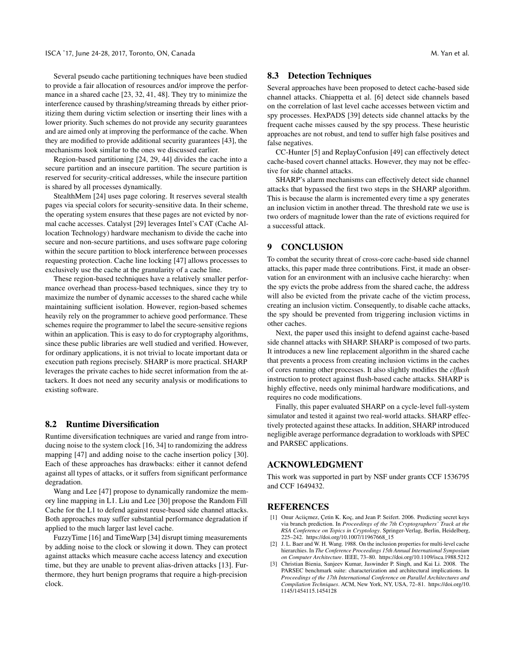Several pseudo cache partitioning techniques have been studied to provide a fair allocation of resources and/or improve the performance in a shared cache [\[23,](#page-12-26) [32,](#page-12-27) [41,](#page-12-28) [48\]](#page-13-6). They try to minimize the interference caused by thrashing/streaming threads by either prioritizing them during victim selection or inserting their lines with a lower priority. Such schemes do not provide any security guarantees and are aimed only at improving the performance of the cache. When they are modified to provide additional security guarantees [\[43\]](#page-12-36), the mechanisms look similar to the ones we discussed earlier.

Region-based partitioning [\[24,](#page-12-11) [29,](#page-12-12) [44\]](#page-13-8) divides the cache into a secure partition and an insecure partition. The secure partition is reserved for security-critical addresses, while the insecure partition is shared by all processes dynamically.

StealthMem [\[24\]](#page-12-11) uses page coloring. It reserves several stealth pages via special colors for security-sensitive data. In their scheme, the operating system ensures that these pages are not evicted by normal cache accesses. Catalyst [\[29\]](#page-12-12) leverages Intel's CAT (Cache Allocation Technology) hardware mechanism to divide the cache into secure and non-secure partitions, and uses software page coloring within the secure partition to block interference between processes requesting protection. Cache line locking [\[47\]](#page-13-4) allows processes to exclusively use the cache at the granularity of a cache line.

These region-based techniques have a relatively smaller performance overhead than process-based techniques, since they try to maximize the number of dynamic accesses to the shared cache while maintaining sufficient isolation. However, region-based schemes heavily rely on the programmer to achieve good performance. These schemes require the programmer to label the secure-sensitive regions within an application. This is easy to do for cryptography algorithms, since these public libraries are well studied and verified. However, for ordinary applications, it is not trivial to locate important data or execution path regions precisely. SHARP is more practical. SHARP leverages the private caches to hide secret information from the attackers. It does not need any security analysis or modifications to existing software.

#### 8.2 Runtime Diversification

Runtime diversification techniques are varied and range from introducing noise to the system clock [\[16,](#page-12-10) [34\]](#page-12-14) to randomizing the address mapping [\[47\]](#page-13-4) and adding noise to the cache insertion policy [\[30\]](#page-12-13). Each of these approaches has drawbacks: either it cannot defend against all types of attacks, or it suffers from significant performance degradation.

Wang and Lee [\[47\]](#page-13-4) propose to dynamically randomize the memory line mapping in L1. Liu and Lee [\[30\]](#page-12-13) propose the Random Fill Cache for the L1 to defend against reuse-based side channel attacks. Both approaches may suffer substantial performance degradation if applied to the much larger last level cache.

FuzzyTime [\[16\]](#page-12-10) and TimeWarp [\[34\]](#page-12-14) disrupt timing measurements by adding noise to the clock or slowing it down. They can protect against attacks which measure cache access latency and execution time, but they are unable to prevent alias-driven attacks [\[13\]](#page-12-18). Furthermore, they hurt benign programs that require a high-precision clock.

#### 8.3 Detection Techniques

Several approaches have been proposed to detect cache-based side channel attacks. Chiappetta et al. [\[6\]](#page-12-37) detect side channels based on the correlation of last level cache accesses between victim and spy processes. HexPADS [\[39\]](#page-12-38) detects side channel attacks by the frequent cache misses caused by the spy process. These heuristic approaches are not robust, and tend to suffer high false positives and false negatives.

CC-Hunter [\[5\]](#page-12-39) and ReplayConfusion [\[49\]](#page-13-9) can effectively detect cache-based covert channel attacks. However, they may not be effective for side channel attacks.

SHARP's alarm mechanisms can effectively detect side channel attacks that bypassed the first two steps in the SHARP algorithm. This is because the alarm is incremented every time a spy generates an inclusion victim in another thread. The threshold rate we use is two orders of magnitude lower than the rate of evictions required for a successful attack.

# 9 CONCLUSION

To combat the security threat of cross-core cache-based side channel attacks, this paper made three contributions. First, it made an observation for an environment with an inclusive cache hierarchy: when the spy evicts the probe address from the shared cache, the address will also be evicted from the private cache of the victim process, creating an inclusion victim. Consequently, to disable cache attacks, the spy should be prevented from triggering inclusion victims in other caches.

Next, the paper used this insight to defend against cache-based side channel attacks with SHARP. SHARP is composed of two parts. It introduces a new line replacement algorithm in the shared cache that prevents a process from creating inclusion victims in the caches of cores running other processes. It also slightly modifies the *clflush* instruction to protect against flush-based cache attacks. SHARP is highly effective, needs only minimal hardware modifications, and requires no code modifications.

Finally, this paper evaluated SHARP on a cycle-level full-system simulator and tested it against two real-world attacks. SHARP effectively protected against these attacks. In addition, SHARP introduced negligible average performance degradation to workloads with SPEC and PARSEC applications.

# ACKNOWLEDGMENT

This work was supported in part by NSF under grants CCF 1536795 and CCF 1649432.

#### REFERENCES

- <span id="page-11-0"></span>[1] Onur Aciiçmez, Çetin K. Koç, and Jean P. Seifert. 2006. Predicting secret keys via branch prediction. In *Proceedings of the 7th Cryptographers' Track at the RSA Conference on Topics in Cryptology*. Springer-Verlag, Berlin, Heidelberg, 225–242. [https://doi.org/10.1007/11967668\\_15](https://doi.org/10.1007/11967668_15)
- <span id="page-11-1"></span>[2] J. L. Baer and W. H. Wang. 1988. On the inclusion properties for multi-level cache hierarchies. In *The Conference Proceedings 15th Annual International Symposium on Computer Architecture*. IEEE, 73–80.<https://doi.org/10.1109/isca.1988.5212>
- <span id="page-11-2"></span>[3] Christian Bienia, Sanjeev Kumar, Jaswinder P. Singh, and Kai Li. 2008. The PARSEC benchmark suite: characterization and architectural implications. In *Proceedings of the 17th International Conference on Parallel Architectures and Compilation Techniques*. ACM, New York, NY, USA, 72–81. [https://doi.org/10.](https://doi.org/10.1145/1454115.1454128) [1145/1454115.1454128](https://doi.org/10.1145/1454115.1454128)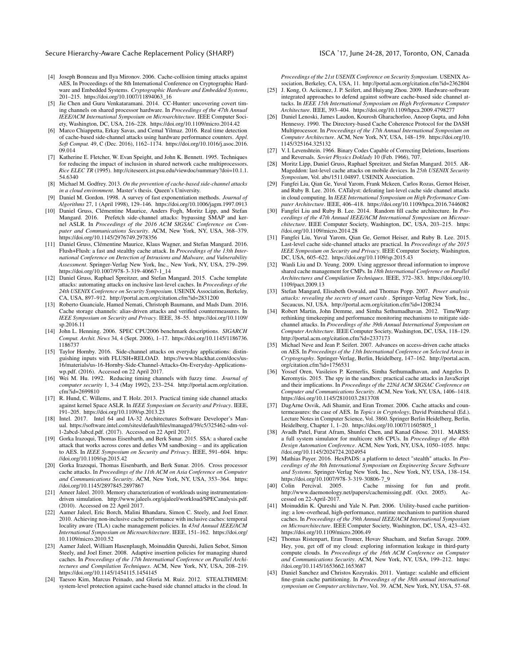- <span id="page-12-24"></span>[4] Joseph Bonneau and Ilya Mironov. 2006. Cache-collision timing attacks against AES, In Proceedings of the 8th International Conference on Cryptographic Hardware and Embedded Systems. *Cryptographic Hardware and Embedded Systems*, 201–215. [https://doi.org/10.1007/11894063\\_16](https://doi.org/10.1007/11894063_16)
- <span id="page-12-39"></span>[5] Jie Chen and Guru Venkataramani. 2014. CC-Hunter: uncovering covert timing channels on shared processor hardware. In *Proceedings of the 47th Annual IEEE/ACM International Symposium on Microarchitecture*. IEEE Computer Society, Washington, DC, USA, 216–228.<https://doi.org/10.1109/micro.2014.42>
- <span id="page-12-37"></span>[6] Marco Chiappetta, Erkay Savas, and Cemal Yilmaz. 2016. Real time detection of cache-based side-channel attacks using hardware performance counters. *Appl. Soft Comput.* 49, C (Dec. 2016), 1162–1174. [https://doi.org/10.1016/j.asoc.2016.](https://doi.org/10.1016/j.asoc.2016.09.014) [09.014](https://doi.org/10.1016/j.asoc.2016.09.014)
- <span id="page-12-25"></span>[7] Katherine E. Fletcher, W. Evan Speight, and John K. Bennett. 1995. Techniques for reducing the impact of inclusion in shared network cache multiprocessors. *Rice ELEC TR* (1995). [http://citeseerx.ist.psu.edu/viewdoc/summary?doi=10.1.1.](http://citeseerx.ist.psu.edu/viewdoc/summary?doi=10.1.1.54.6340) [54.6340](http://citeseerx.ist.psu.edu/viewdoc/summary?doi=10.1.1.54.6340)
- <span id="page-12-29"></span>[8] Michael M. Godfrey. 2013. *On the prevention of cache-based side-channel attacks in a cloud environment*. Master's thesis. Queen's University.
- <span id="page-12-16"></span>[9] Daniel M. Gordon. 1998. A survey of fast exponentiation methods. *Journal of Algorithms* 27, 1 (April 1998), 129–146.<https://doi.org/10.1006/jagm.1997.0913>
- <span id="page-12-19"></span>[10] Daniel Gruss, Clémentine Maurice, Anders Fogh, Moritz Lipp, and Stefan Mangard. 2016. Prefetch side-channel attacks: bypassing SMAP and kernel ASLR. In *Proceedings of the 2016 ACM SIGSAC Conference on Computer and Communications Security*. ACM, New York, NY, USA, 368–379. <https://doi.org/10.1145/2976749.2978356>
- <span id="page-12-20"></span>[11] Daniel Gruss, Clémentine Maurice, Klaus Wagner, and Stefan Mangard. 2016. Flush+Flush: a fast and stealthy cache attack. In *Proceedings of the 13th International Conference on Detection of Intrusions and Malware, and Vulnerability Assessment*. Springer-Verlag New York, Inc., New York, NY, USA, 279–299. [https://doi.org/10.1007/978-3-319-40667-1\\_14](https://doi.org/10.1007/978-3-319-40667-1_14)
- <span id="page-12-4"></span>[12] Daniel Gruss, Raphael Spreitzer, and Stefan Mangard. 2015. Cache template attacks: automating attacks on inclusive last-level caches. In *Proceedings of the 24th USENIX Conference on Security Symposium*. USENIX Association, Berkeley, CA, USA, 897–912.<http://portal.acm.org/citation.cfm?id=2831200>
- <span id="page-12-18"></span>[13] Roberto Guanciale, Hamed Nemati, Christoph Baumann, and Mads Dam. 2016. Cache storage channels: alias-driven attacks and verified countermeasures. In *IEEE Symposium on Security and Privacy*. IEEE, 38–55. [https://doi.org/10.1109/](https://doi.org/10.1109/sp.2016.11) [sp.2016.11](https://doi.org/10.1109/sp.2016.11)
- <span id="page-12-34"></span>[14] John L. Henning. 2006. SPEC CPU2006 benchmark descriptions. *SIGARCH Comput. Archit. News* 34, 4 (Sept. 2006), 1–17. [https://doi.org/10.1145/1186736.](https://doi.org/10.1145/1186736.1186737) [1186737](https://doi.org/10.1145/1186736.1186737)
- <span id="page-12-5"></span>[15] Taylor Hornby. 2016. Side-channel attacks on everyday applications: distinguishing inputs with FLUSH+RELOAD. https://www.blackhat.com/docs/us-16/materials/us-16-Hornby-Side-Channel-Attacks-On-Everyday-Applicationswp.pdf. (2016). Accessed on 22 April 2017.
- <span id="page-12-10"></span>[16] Wei M. Hu. 1992. Reducing timing channels with fuzzy time. *Journal of computer security* 1, 3-4 (May 1992), 233–254. [http://portal.acm.org/citation.](http://portal.acm.org/citation.cfm?id=2699810) [cfm?id=2699810](http://portal.acm.org/citation.cfm?id=2699810)
- <span id="page-12-0"></span>[17] R. Hund, C. Willems, and T. Holz. 2013. Practical timing side channel attacks against kernel Space ASLR. In *IEEE Symposium on Security and Privacy*. IEEE, 191–205.<https://doi.org/10.1109/sp.2013.23>
- <span id="page-12-22"></span>[18] Intel. 2017. Intel 64 and IA-32 Architectures Software Developer's Manual. https://software.intel.com/sites/default/files/managed/39/c5/325462-sdm-vol-1-2abcd-3abcd.pdf. (2017). Accessed on 22 April 2017.
- <span id="page-12-6"></span>[19] Gorka Irazoqui, Thomas Eisenbarth, and Berk Sunar. 2015. S\$A: a shared cache attack that works across cores and defies VM sandboxing – and its application to AES. In *IEEE Symposium on Security and Privacy*. IEEE, 591–604. [https:](https://doi.org/10.1109/sp.2015.42) [//doi.org/10.1109/sp.2015.42](https://doi.org/10.1109/sp.2015.42)
- <span id="page-12-21"></span>[20] Gorka Irazoqui, Thomas Eisenbarth, and Berk Sunar. 2016. Cross processor cache attacks. In *Proceedings of the 11th ACM on Asia Conference on Computer and Communications Security*. ACM, New York, NY, USA, 353–364. [https:](https://doi.org/10.1145/2897845.2897867) [//doi.org/10.1145/2897845.2897867](https://doi.org/10.1145/2897845.2897867)
- <span id="page-12-35"></span>[21] Ameer Jaleel. 2010. Memory characterization of workloads using instrumentationdriven simulation. http://www.jaleels.org/ajaleel/workload/SPECanalysis.pdf. (2010). Accessed on 22 April 2017.
- <span id="page-12-15"></span>[22] Aamer Jaleel, Eric Borch, Malini Bhandaru, Simon C. Steely, and Joel Emer. 2010. Achieving non-inclusive cache performance with inclusive caches: temporal locality aware (TLA) cache management policies. In *43rd Annual IEEE/ACM International Symposium on Microarchitecture*. IEEE, 151–162. [https://doi.org/](https://doi.org/10.1109/micro.2010.52) [10.1109/micro.2010.52](https://doi.org/10.1109/micro.2010.52)
- <span id="page-12-26"></span>[23] Aamer Jaleel, William Hasenplaugh, Moinuddin Qureshi, Julien Sebot, Simon Steely, and Joel Emer. 2008. Adaptive insertion policies for managing shared caches. In *Proceedings of the 17th International Conference on Parallel Architectures and Compilation Techniques*. ACM, New York, NY, USA, 208–219. <https://doi.org/10.1145/1454115.1454145>
- <span id="page-12-11"></span>[24] Taesoo Kim, Marcus Peinado, and Gloria M. Ruiz. 2012. STEALTHMEM: system-level protection against cache-based side channel attacks in the cloud. In

*Proceedings of the 21st USENIX Conference on Security Symposium*. USENIX Association, Berkeley, CA, USA, 11.<http://portal.acm.org/citation.cfm?id=2362804>

- <span id="page-12-31"></span>[25] J. Kong, O. Aciicmez, J. P. Seifert, and Huiyang Zhou. 2009. Hardware-software integrated approaches to defend against software cache-based side channel attacks. In *IEEE 15th International Symposium on High Performance Computer Architecture*. IEEE, 393–404.<https://doi.org/10.1109/hpca.2009.4798277>
- <span id="page-12-30"></span>[26] Daniel Lenoski, James Laudon, Kourosh Gharachorloo, Anoop Gupta, and John Hennessy. 1990. The Directory-based Cache Coherence Protocol for the DASH Multiprocessor. In *Proceedings of the 17th Annual International Symposium on Computer Architecture*. ACM, New York, NY, USA, 148–159. [https://doi.org/10.](https://doi.org/10.1145/325164.325132) [1145/325164.325132](https://doi.org/10.1145/325164.325132)
- <span id="page-12-33"></span>[27] V. I. Levenshtein. 1966. Binary Codes Capable of Correcting Deletions, Insertions and Reversals. *Soviet Physics Doklady* 10 (Feb. 1966), 707.
- <span id="page-12-7"></span>[28] Moritz Lipp, Daniel Gruss, Raphael Spreitzer, and Stefan Mangard. 2015. AR-Mageddon: last-level cache attacks on mobile devices. In *25th USENIX Security Symposium*, Vol. abs/1511.04897. USENIX Association.
- <span id="page-12-12"></span>[29] Fangfei Liu, Qian Ge, Yuval Yarom, Frank Mckeen, Carlos Rozas, Gernot Heiser, and Ruby B. Lee. 2016. CATalyst: defeating last-level cache side channel attacks in cloud computing. In *IEEE International Symposium on High Performance Computer Architecture*. IEEE, 406–418.<https://doi.org/10.1109/hpca.2016.7446082>
- <span id="page-12-13"></span>[30] Fangfei Liu and Ruby B. Lee. 2014. Random fill cache architecture. In *Proceedings of the 47th Annual IEEE/ACM International Symposium on Microarchitecture*. IEEE Computer Society, Washington, DC, USA, 203–215. [https:](https://doi.org/10.1109/micro.2014.28) [//doi.org/10.1109/micro.2014.28](https://doi.org/10.1109/micro.2014.28)
- <span id="page-12-8"></span>[31] Fangfei Liu, Yuval Yarom, Qian Ge, Gernot Heiser, and Ruby B. Lee. 2015. Last-level cache side-channel attacks are practical. In *Proceedings of the 2015 IEEE Symposium on Security and Privacy*. IEEE Computer Society, Washington, DC, USA, 605–622.<https://doi.org/10.1109/sp.2015.43>
- <span id="page-12-27"></span>[32] Wanli Liu and D. Yeung. 2009. Using aggressor thread information to improve shared cache management for CMPs. In *18th International Conference on Parallel Architectures and Compilation Techniques*. IEEE, 372–383. [https://doi.org/10.](https://doi.org/10.1109/pact.2009.13) [1109/pact.2009.13](https://doi.org/10.1109/pact.2009.13)
- <span id="page-12-1"></span>[33] Stefan Mangard, Elisabeth Oswald, and Thomas Popp. 2007. *Power analysis attacks: revealing the secrets of smart cards* . Springer-Verlag New York, Inc., Secaucus, NJ, USA.<http://portal.acm.org/citation.cfm?id=1208234>
- <span id="page-12-14"></span>[34] Robert Martin, John Demme, and Simha Sethumadhavan. 2012. TimeWarp: rethinking timekeeping and performance monitoring mechanisms to mitigate sidechannel attacks. In *Proceedings of the 39th Annual International Symposium on Computer Architecture*. IEEE Computer Society, Washington, DC, USA, 118–129. <http://portal.acm.org/citation.cfm?id=2337173>
- <span id="page-12-23"></span>[35] Michael Neve and Jean P. Seifert. 2007. Advances on access-driven cache attacks on AES. In *Proceedings of the 13th International Conference on Selected Areas in Cryptography*. Springer-Verlag, Berlin, Heidelberg, 147–162. [http://portal.acm.](http://portal.acm.org/citation.cfm?id=1756531) [org/citation.cfm?id=1756531](http://portal.acm.org/citation.cfm?id=1756531)
- <span id="page-12-9"></span>[36] Yossef Oren, Vasileios P. Kemerlis, Simha Sethumadhavan, and Angelos D. Keromytis. 2015. The spy in the sandbox: practical cache attacks in JavaScript and their implications. In *Proceedings of the 22Nd ACM SIGSAC Conference on Computer and Communications Security*. ACM, New York, NY, USA, 1406–1418. <https://doi.org/10.1145/2810103.2813708>
- <span id="page-12-17"></span>[37] DagArne Osvik, Adi Shamir, and Eran Tromer. 2006. Cache attacks and countermeasures: the case of AES. In *Topics in Cryptology*, David Pointcheval (Ed.). Lecture Notes in Computer Science, Vol. 3860. Springer Berlin Heidelberg, Berlin, Heidelberg, Chapter 1, 1–20. [https://doi.org/10.1007/11605805\\_1](https://doi.org/10.1007/11605805_1)
- <span id="page-12-32"></span>[38] Avadh Patel, Furat Afram, Shunfei Chen, and Kanad Ghose. 2011. MARSS: a full system simulator for multicore x86 CPUs. In *Proceedings of the 48th Design Automation Conference*. ACM, New York, NY, USA, 1050–1055. [https:](https://doi.org/10.1145/2024724.2024954) [//doi.org/10.1145/2024724.2024954](https://doi.org/10.1145/2024724.2024954)
- <span id="page-12-38"></span>[39] Mathias Payer. 2016. HexPADS: a platform to detect "stealth" attacks. In *Proceedings of the 8th International Symposium on Engineering Secure Software and Systems*. Springer-Verlag New York, Inc., New York, NY, USA, 138–154. [https://doi.org/10.1007/978-3-319-30806-7\\_9](https://doi.org/10.1007/978-3-319-30806-7_9)<br>[40] Colin Percival. 2005. Cache mi
- <span id="page-12-2"></span>Cache missing for fun and profit. http://www.daemonology.net/papers/cachemissing.pdf. (Oct. 2005). Accessed on 22-April-2017.
- <span id="page-12-28"></span>[41] Moinuddin K. Qureshi and Yale N. Patt. 2006. Utility-based cache partitioning: a low-overhead, high-performance, runtime mechanism to partition shared caches. In *Proceedings of the 39th Annual IEEE/ACM International Symposium on Microarchitecture*. IEEE Computer Society, Washington, DC, USA, 423–432. <https://doi.org/10.1109/micro.2006.49>
- <span id="page-12-3"></span>[42] Thomas Ristenpart, Eran Tromer, Hovav Shacham, and Stefan Savage. 2009. Hey, you, get off of my cloud: exploring information leakage in third-party compute clouds. In *Proceedings of the 16th ACM Conference on Computer and Communications Security*. ACM, New York, NY, USA, 199–212. [https:](https://doi.org/10.1145/1653662.1653687) [//doi.org/10.1145/1653662.1653687](https://doi.org/10.1145/1653662.1653687)
- <span id="page-12-36"></span>[43] Daniel Sanchez and Christos Kozyrakis. 2011. Vantage: scalable and efficient fine-grain cache partitioning. In *Proceedings of the 38th annual international symposium on Computer architecture*, Vol. 39. ACM, New York, NY, USA, 57–68.